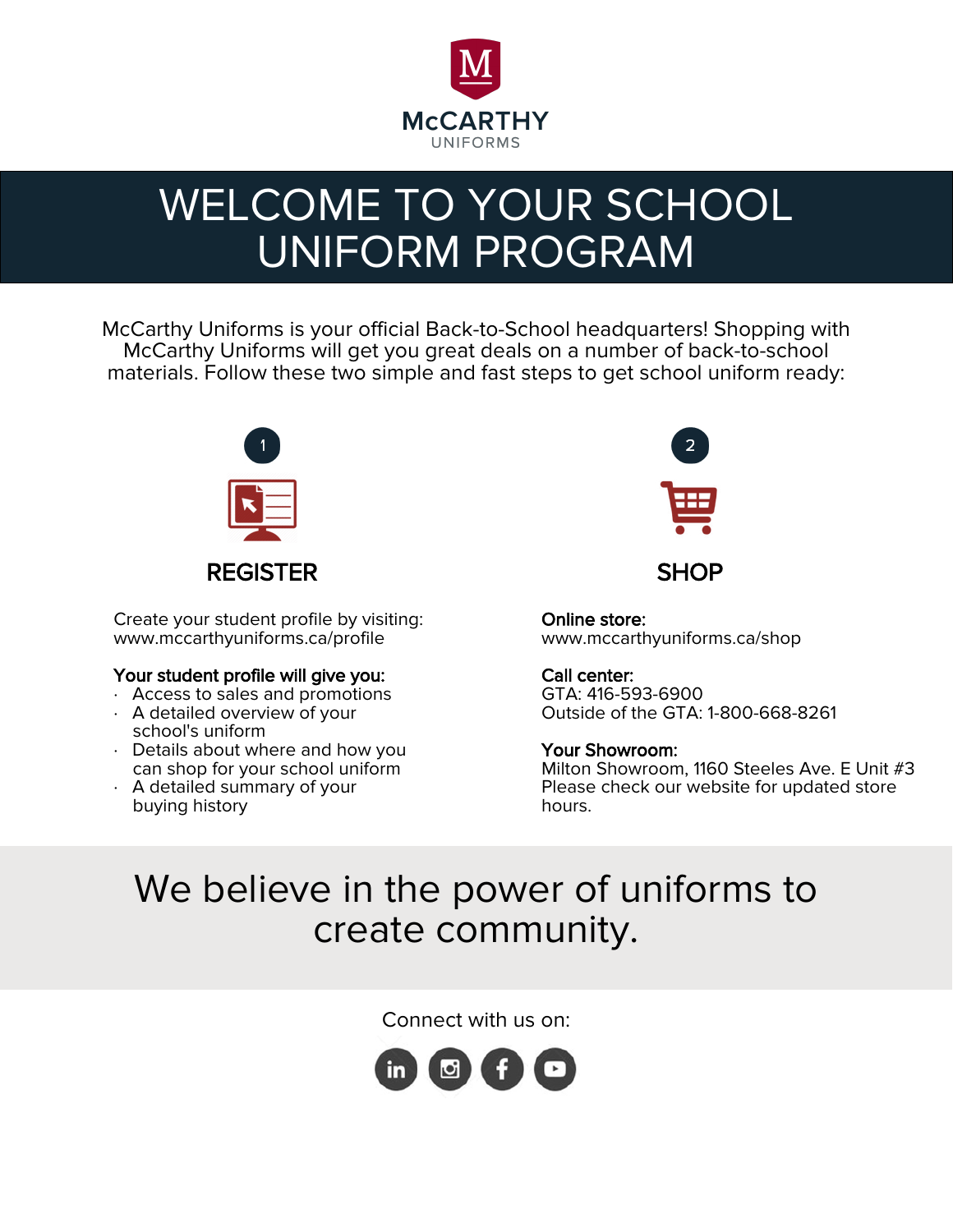

# WELCOME TO YOUR SCHOOL UNIFORM PROGRAM

McCarthy Uniforms is your official Back-to-School headquarters! Shopping with McCarthy Uniforms will get you great deals on a number of back-to-school materials. Follow these two simple and fast steps to get school uniform ready:



Create your student profile by visiting: www.mccarthyuniforms.ca/profile

#### Your student profile will give you:

- · Access to sales and promotions
- · A detailed overview of your school's uniform
- · Details about where and how you can shop for your school uniform
- · A detailed summary of your buying history



Online store: www.mccarthyuniforms.ca/shop

#### Call center:

GTA: 416-593-6900 Outside of the GTA: 1-800-668-8261

#### Your Showroom:

Milton Showroom, 1160 Steeles Ave. E Unit #3 Please check our website for updated store hours.

## We believe in the power of uniforms to create community.

Connect with us on: